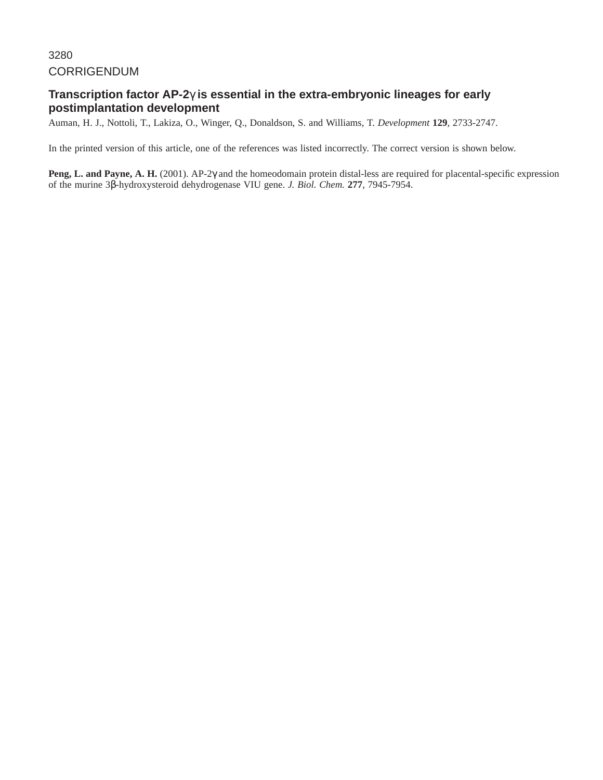# CORRIGENDUM

# **Transcription factor AP-2**γ **is essential in the extra-embryonic lineages for early postimplantation development**

Auman, H. J., Nottoli, T., Lakiza, O., Winger, Q., Donaldson, S. and Williams, T. *Development* **129**, 2733-2747.

In the printed version of this article, one of the references was listed incorrectly. The correct version is shown below.

**Peng, L. and Payne, A. H.** (2001). AP-2γ and the homeodomain protein distal-less are required for placental-specific expression of the murine 3β-hydroxysteroid dehydrogenase VIU gene. *J. Biol. Chem.* **277**, 7945-7954.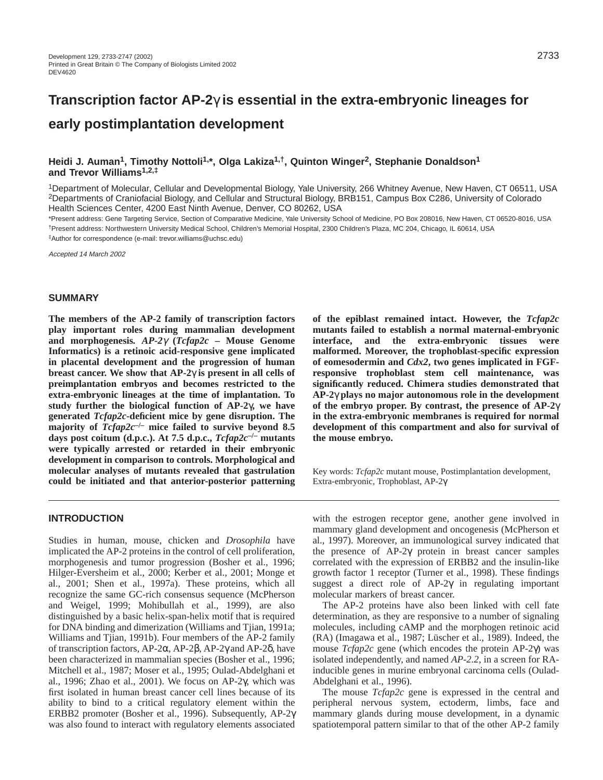# **Transcription factor AP-2**γ **is essential in the extra-embryonic lineages for early postimplantation development**

# Heidi J. Auman<sup>1</sup>, Timothy Nottoli<sup>1,\*</sup>, Olga Lakiza<sup>1,†</sup>, Quinton Winger<sup>2</sup>, Stephanie Donaldson<sup>1</sup> **and Trevor Williams1,2,‡**

1Department of Molecular, Cellular and Developmental Biology, Yale University, 266 Whitney Avenue, New Haven, CT 06511, USA 2Departments of Craniofacial Biology, and Cellular and Structural Biology, BRB151, Campus Box C286, University of Colorado Health Sciences Center, 4200 East Ninth Avenue, Denver, CO 80262, USA

\*Present address: Gene Targeting Service, Section of Comparative Medicine, Yale University School of Medicine, PO Box 208016, New Haven, CT 06520-8016, USA †Present address: Northwestern University Medical School, Children's Memorial Hospital, 2300 Children's Plaza, MC 204, Chicago, IL 60614, USA ‡Author for correspondence (e-mail: trevor.williams@uchsc.edu)

Accepted 14 March 2002

#### **SUMMARY**

**The members of the AP-2 family of transcription factors play important roles during mammalian development and morphogenesis***. AP-2*γ **(***Tcfap2c* **– Mouse Genome Informatics) is a retinoic acid-responsive gene implicated in placental development and the progression of human breast cancer. We show that AP-2**γ **is present in all cells of preimplantation embryos and becomes restricted to the extra-embryonic lineages at the time of implantation. To study further the biological function of AP-2**γ**, we have generated** *Tcfap2c***-deficient mice by gene disruption. The majority of** *Tcfap2c***–/– mice failed to survive beyond 8.5 days post coitum (d.p.c.). At 7.5 d.p.c.,** *Tcfap2c***–/– mutants were typically arrested or retarded in their embryonic development in comparison to controls. Morphological and molecular analyses of mutants revealed that gastrulation could be initiated and that anterior-posterior patterning**

# **INTRODUCTION**

Studies in human, mouse, chicken and *Drosophila* have implicated the AP-2 proteins in the control of cell proliferation, morphogenesis and tumor progression (Bosher et al., 1996; Hilger-Eversheim et al., 2000; Kerber et al., 2001; Monge et al., 2001; Shen et al., 1997a). These proteins, which all recognize the same GC-rich consensus sequence (McPherson and Weigel, 1999; Mohibullah et al., 1999), are also distinguished by a basic helix-span-helix motif that is required for DNA binding and dimerization (Williams and Tjian, 1991a; Williams and Tjian, 1991b). Four members of the AP-2 family of transcription factors, AP-2α, AP-2β, AP-2γ and AP-2δ, have been characterized in mammalian species (Bosher et al., 1996; Mitchell et al., 1987; Moser et al., 1995; Oulad-Abdelghani et al., 1996; Zhao et al., 2001). We focus on AP-2γ, which was first isolated in human breast cancer cell lines because of its ability to bind to a critical regulatory element within the ERBB2 promoter (Bosher et al., 1996). Subsequently, AP-2γ was also found to interact with regulatory elements associated

**of the epiblast remained intact. However, the** *Tcfap2c* **mutants failed to establish a normal maternal-embryonic interface, and the extra-embryonic tissues were malformed. Moreover, the trophoblast-specific expression of eomesodermin and** *Cdx2***, two genes implicated in FGFresponsive trophoblast stem cell maintenance, was significantly reduced. Chimera studies demonstrated that AP-2**γ **plays no major autonomous role in the development of the embryo proper. By contrast, the presence of AP-2**γ **in the extra-embryonic membranes is required for normal development of this compartment and also for survival of the mouse embryo.**

Key words: *Tcfap2c* mutant mouse, Postimplantation development, Extra-embryonic, Trophoblast, AP-2γ

with the estrogen receptor gene, another gene involved in mammary gland development and oncogenesis (McPherson et al., 1997). Moreover, an immunological survey indicated that the presence of AP-2γ protein in breast cancer samples correlated with the expression of ERBB2 and the insulin-like growth factor 1 receptor (Turner et al., 1998). These findings suggest a direct role of AP-2γ in regulating important molecular markers of breast cancer.

The AP-2 proteins have also been linked with cell fate determination, as they are responsive to a number of signaling molecules, including cAMP and the morphogen retinoic acid (RA) (Imagawa et al., 1987; Lüscher et al., 1989). Indeed, the mouse *Tcfap2c* gene (which encodes the protein AP-2γ) was isolated independently, and named *AP-2.2*, in a screen for RAinducible genes in murine embryonal carcinoma cells (Oulad-Abdelghani et al., 1996).

The mouse *Tcfap2c* gene is expressed in the central and peripheral nervous system, ectoderm, limbs, face and mammary glands during mouse development, in a dynamic spatiotemporal pattern similar to that of the other AP-2 family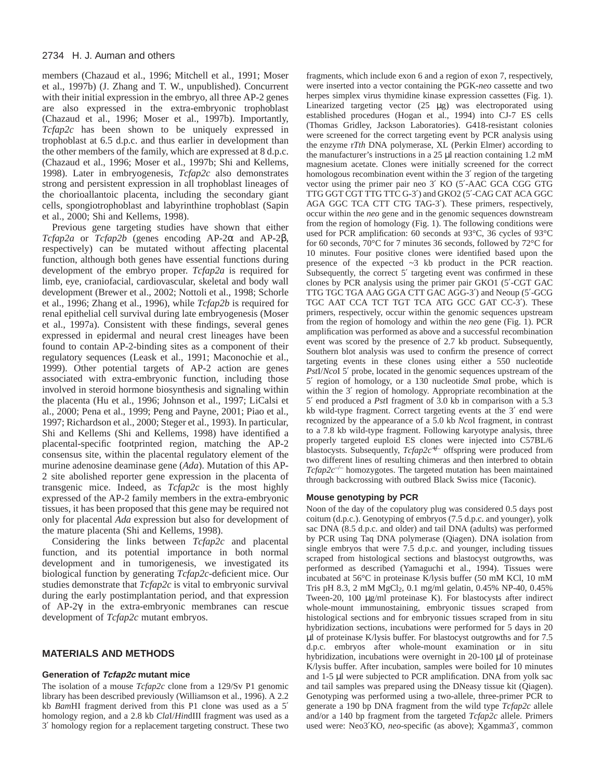members (Chazaud et al., 1996; Mitchell et al., 1991; Moser et al., 1997b) (J. Zhang and T. W., unpublished). Concurrent with their initial expression in the embryo, all three AP-2 genes are also expressed in the extra-embryonic trophoblast (Chazaud et al., 1996; Moser et al., 1997b). Importantly, *Tcfap2c* has been shown to be uniquely expressed in trophoblast at 6.5 d.p.c. and thus earlier in development than the other members of the family, which are expressed at 8 d.p.c. (Chazaud et al., 1996; Moser et al., 1997b; Shi and Kellems, 1998). Later in embryogenesis, *Tcfap2c* also demonstrates strong and persistent expression in all trophoblast lineages of the chorioallantoic placenta, including the secondary giant cells, spongiotrophoblast and labyrinthine trophoblast (Sapin et al., 2000; Shi and Kellems, 1998).

Previous gene targeting studies have shown that either *Tcfap2a* or *Tcfap2b* (genes encoding AP-2α and AP-2β, respectively) can be mutated without affecting placental function, although both genes have essential functions during development of the embryo proper. *Tcfap2a* is required for limb, eye, craniofacial, cardiovascular, skeletal and body wall development (Brewer et al., 2002; Nottoli et al., 1998; Schorle et al., 1996; Zhang et al., 1996), while *Tcfap2b* is required for renal epithelial cell survival during late embryogenesis (Moser et al., 1997a). Consistent with these findings, several genes expressed in epidermal and neural crest lineages have been found to contain AP-2-binding sites as a component of their regulatory sequences (Leask et al., 1991; Maconochie et al., 1999). Other potential targets of AP-2 action are genes associated with extra-embryonic function, including those involved in steroid hormone biosynthesis and signaling within the placenta (Hu et al., 1996; Johnson et al., 1997; LiCalsi et al., 2000; Pena et al., 1999; Peng and Payne, 2001; Piao et al., 1997; Richardson et al., 2000; Steger et al., 1993). In particular, Shi and Kellems (Shi and Kellems, 1998) have identified a placental-specific footprinted region, matching the AP-2 consensus site, within the placental regulatory element of the murine adenosine deaminase gene (*Ada*). Mutation of this AP-2 site abolished reporter gene expression in the placenta of transgenic mice. Indeed, as *Tcfap2c* is the most highly expressed of the AP-2 family members in the extra-embryonic tissues, it has been proposed that this gene may be required not only for placental *Ada* expression but also for development of the mature placenta (Shi and Kellems, 1998).

Considering the links between *Tcfap2c* and placental function, and its potential importance in both normal development and in tumorigenesis, we investigated its biological function by generating *Tcfap2c-*deficient mice. Our studies demonstrate that *Tcfap2c* is vital to embryonic survival during the early postimplantation period, and that expression of AP-2γ in the extra-embryonic membranes can rescue development of *Tcfap2c* mutant embryos.

# **MATERIALS AND METHODS**

#### **Generation of Tcfap2c mutant mice**

The isolation of a mouse *Tcfap2c* clone from a 129/Sv P1 genomic library has been described previously (Williamson et al., 1996). A 2.2 kb *Bam*HI fragment derived from this P1 clone was used as a 5′ homology region, and a 2.8 kb *Cla*I/*Hin*dIII fragment was used as a 3′ homology region for a replacement targeting construct. These two

fragments, which include exon 6 and a region of exon 7, respectively, were inserted into a vector containing the PGK-*neo* cassette and two herpes simplex virus thymidine kinase expression cassettes (Fig. 1). Linearized targeting vector  $(25 \mu g)$  was electroporated using established procedures (Hogan et al., 1994) into CJ-7 ES cells (Thomas Gridley, Jackson Laboratories). G418-resistant colonies were screened for the correct targeting event by PCR analysis using the enzyme r*Tth* DNA polymerase, XL (Perkin Elmer) according to the manufacturer's instructions in a 25 µl reaction containing 1.2 mM magnesium acetate. Clones were initially screened for the correct homologous recombination event within the 3' region of the targeting vector using the primer pair neo 3′ KO (5′-AAC GCA CGG GTG TTG GGT CGT TTG TTC G-3′) and GKO2 (5′-CAG CAT ACA GGC AGA GGC TCA CTT CTG TAG-3′). These primers, respectively, occur within the *neo* gene and in the genomic sequences downstream from the region of homology (Fig. 1). The following conditions were used for PCR amplification: 60 seconds at 93°C, 36 cycles of 93°C for 60 seconds, 70°C for 7 minutes 36 seconds, followed by 72°C for 10 minutes. Four positive clones were identified based upon the presence of the expected ~3 kb product in the PCR reaction. Subsequently, the correct 5' targeting event was confirmed in these clones by PCR analysis using the primer pair GKO1 (5′-CGT GAC TTG TGC TGA AAG GGA CTT GAC AGG-3′) and Neoup (5′-GCG TGC AAT CCA TCT TGT TCA ATG GCC GAT CC-3′). These primers, respectively, occur within the genomic sequences upstream from the region of homology and within the *neo* gene (Fig. 1). PCR amplification was performed as above and a successful recombination event was scored by the presence of 2.7 kb product. Subsequently, Southern blot analysis was used to confirm the presence of correct targeting events in these clones using either a 550 nucleotide *Pst*I/*Nco*I 5′ probe, located in the genomic sequences upstream of the 5′ region of homology, or a 130 nucleotide *Sma*I probe, which is within the 3′ region of homology. Appropriate recombination at the 5′ end produced a *Pst*I fragment of 3.0 kb in comparison with a 5.3 kb wild-type fragment. Correct targeting events at the 3′ end were recognized by the appearance of a 5.0 kb *Nco*I fragment, in contrast to a 7.8 kb wild-type fragment. Following karyotype analysis, three properly targeted euploid ES clones were injected into C57BL/6 blastocysts. Subsequently, *Tcfap2c*+/– offspring were produced from two different lines of resulting chimeras and then interbred to obtain *Tcfap2c*–/– homozygotes. The targeted mutation has been maintained through backcrossing with outbred Black Swiss mice (Taconic).

#### **Mouse genotyping by PCR**

Noon of the day of the copulatory plug was considered 0.5 days post coitum (d.p.c.). Genotyping of embryos (7.5 d.p.c. and younger), yolk sac DNA (8.5 d.p.c. and older) and tail DNA (adults) was performed by PCR using Taq DNA polymerase (Qiagen). DNA isolation from single embryos that were 7.5 d.p.c. and younger, including tissues scraped from histological sections and blastocyst outgrowths, was performed as described (Yamaguchi et al., 1994). Tissues were incubated at 56°C in proteinase K/lysis buffer (50 mM KCl, 10 mM Tris pH 8.3, 2 mM MgCl2, 0.1 mg/ml gelatin, 0.45% NP-40, 0.45% Tween-20, 100 µg/ml proteinase K). For blastocysts after indirect whole-mount immunostaining, embryonic tissues scraped from histological sections and for embryonic tissues scraped from in situ hybridization sections, incubations were performed for 5 days in 20 µl of proteinase K/lysis buffer. For blastocyst outgrowths and for 7.5 d.p.c. embryos after whole-mount examination or in situ hybridization, incubations were overnight in 20-100 µl of proteinase K/lysis buffer. After incubation, samples were boiled for 10 minutes and 1-5 µl were subjected to PCR amplification. DNA from yolk sac and tail samples was prepared using the DNeasy tissue kit (Qiagen). Genotyping was performed using a two-allele, three-primer PCR to generate a 190 bp DNA fragment from the wild type *Tcfap2c* allele and/or a 140 bp fragment from the targeted *Tcfap2c* allele. Primers used were: Neo3′KO, *neo*-specific (as above); Xgamma3′, common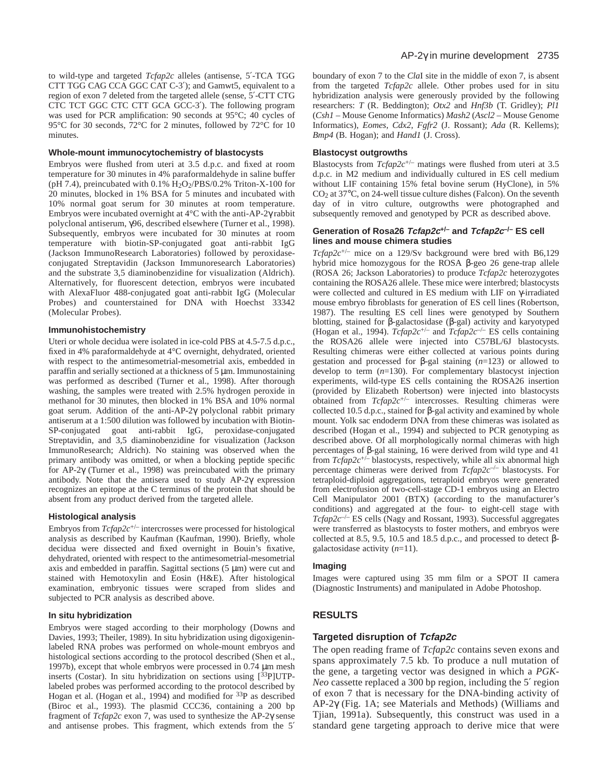to wild-type and targeted *Tcfap2c* alleles (antisense, 5′-TCA TGG CTT TGG CAG CCA GGC CAT C-3′); and Gamwt5, equivalent to a region of exon 7 deleted from the targeted allele (sense, 5′-CTT CTG CTC TCT GGC CTC CTT GCA GCC-3′). The following program was used for PCR amplification: 90 seconds at 95°C; 40 cycles of 95°C for 30 seconds, 72°C for 2 minutes, followed by 72°C for 10 minutes.

#### **Whole-mount immunocytochemistry of blastocysts**

Embryos were flushed from uteri at 3.5 d.p.c. and fixed at room temperature for 30 minutes in 4% paraformaldehyde in saline buffer (pH 7.4), preincubated with  $0.1\%$  H<sub>2</sub>O<sub>2</sub>/PBS/0.2% Triton-X-100 for 20 minutes, blocked in 1% BSA for 5 minutes and incubated with 10% normal goat serum for 30 minutes at room temperature. Embryos were incubated overnight at 4°C with the anti-AP-2γ rabbit polyclonal antiserum, γ96, described elsewhere (Turner et al., 1998). Subsequently, embryos were incubated for 30 minutes at room temperature with biotin-SP-conjugated goat anti-rabbit IgG (Jackson ImmunoResearch Laboratories) followed by peroxidaseconjugated Streptavidin (Jackson Immunoresearch Laboratories) and the substrate 3,5 diaminobenzidine for visualization (Aldrich). Alternatively, for fluorescent detection, embryos were incubated with AlexaFluor 488-conjugated goat anti-rabbit IgG (Molecular Probes) and counterstained for DNA with Hoechst 33342 (Molecular Probes).

#### **Immunohistochemistry**

Uteri or whole decidua were isolated in ice-cold PBS at 4.5-7.5 d.p.c., fixed in 4% paraformaldehyde at 4°C overnight, dehydrated, oriented with respect to the antimesometrial-mesometrial axis, embedded in paraffin and serially sectioned at a thickness of 5 µm. Immunostaining was performed as described (Turner et al., 1998). After thorough washing, the samples were treated with 2.5% hydrogen peroxide in methanol for 30 minutes, then blocked in 1% BSA and 10% normal goat serum. Addition of the anti-AP-2γ polyclonal rabbit primary antiserum at a 1:500 dilution was followed by incubation with Biotin-SP-conjugated goat anti-rabbit IgG, peroxidase-conjugated Streptavidin, and 3,5 diaminobenzidine for visualization (Jackson ImmunoResearch; Aldrich). No staining was observed when the primary antibody was omitted, or when a blocking peptide specific for AP-2γ (Turner et al., 1998) was preincubated with the primary antibody. Note that the antisera used to study AP-2γ expression recognizes an epitope at the C terminus of the protein that should be absent from any product derived from the targeted allele.

#### **Histological analysis**

Embryos from *Tcfap2c*+/– intercrosses were processed for histological analysis as described by Kaufman (Kaufman, 1990). Briefly, whole decidua were dissected and fixed overnight in Bouin's fixative, dehydrated, oriented with respect to the antimesometrial-mesometrial axis and embedded in paraffin. Sagittal sections  $(5 \mu m)$  were cut and stained with Hemotoxylin and Eosin (H&E). After histological examination, embryonic tissues were scraped from slides and subjected to PCR analysis as described above.

#### **In situ hybridization**

Embryos were staged according to their morphology (Downs and Davies, 1993; Theiler, 1989). In situ hybridization using digoxigeninlabeled RNA probes was performed on whole-mount embryos and histological sections according to the protocol described (Shen et al., 1997b), except that whole embryos were processed in 0.74 µm mesh inserts (Costar). In situ hybridization on sections using [33P]UTPlabeled probes was performed according to the protocol described by Hogan et al. (Hogan et al., 1994) and modified for 33P as described (Biroc et al., 1993). The plasmid CCC36, containing a 200 bp fragment of *Tcfap2c* exon 7, was used to synthesize the AP-2γ sense and antisense probes. This fragment, which extends from the 5′

boundary of exon 7 to the *Cla*I site in the middle of exon 7, is absent from the targeted *Tcfap2c* allele. Other probes used for in situ hybridization analysis were generously provided by the following researchers: *T* (R. Beddington); *Otx2* and *Hnf3b* (T. Gridley); *Pl1* (*Csh1* – Mouse Genome Informatics) *Mash2* (*Ascl2* – Mouse Genome Informatics), *Eomes*, *Cdx2*, *Fgfr2* (J. Rossant); *Ada* (R. Kellems); *Bmp4* (B. Hogan); and *Hand1* (J. Cross).

#### **Blastocyst outgrowths**

Blastocysts from *Tcfap2c*+/– matings were flushed from uteri at 3.5 d.p.c. in M2 medium and individually cultured in ES cell medium without LIF containing 15% fetal bovine serum (HyClone), in 5%  $CO<sub>2</sub>$  at 37 $\degree$ C, on 24-well tissue culture dishes (Falcon). On the seventh day of in vitro culture, outgrowths were photographed and subsequently removed and genotyped by PCR as described above.

#### **Generation of Rosa26 Tcfap2c+/– and Tcfap2c–/– ES cell lines and mouse chimera studies**

*Tcfap2c*+/– mice on a 129/Sv background were bred with B6,129 hybrid mice homozygous for the ROSA β-geo 26 gene-trap allele (ROSA 26; Jackson Laboratories) to produce *Tcfap2c* heterozygotes containing the ROSA26 allele. These mice were interbred; blastocysts were collected and cultured in ES medium with LIF on γ-irradiated mouse embryo fibroblasts for generation of ES cell lines (Robertson, 1987). The resulting ES cell lines were genotyped by Southern blotting, stained for β-galactosidase (β-gal) activity and karyotyped (Hogan et al., 1994).  $Tcfap2c^{+/-}$  and  $Tcfap2c^{-/-}$  ES cells containing the ROSA26 allele were injected into C57BL/6J blastocysts. Resulting chimeras were either collected at various points during gestation and processed for β-gal staining (*n*=123) or allowed to develop to term (*n*=130). For complementary blastocyst injection experiments, wild-type ES cells containing the ROSA26 insertion (provided by Elizabeth Robertson) were injected into blastocysts obtained from *Tcfap2c*+/– intercrosses. Resulting chimeras were collected 10.5 d.p.c., stained for β-gal activity and examined by whole mount. Yolk sac endoderm DNA from these chimeras was isolated as described (Hogan et al., 1994) and subjected to PCR genotyping as described above. Of all morphologically normal chimeras with high percentages of β-gal staining, 16 were derived from wild type and 41 from *Tcfap2c*+/– blastocysts, respectively, while all six abnormal high percentage chimeras were derived from *Tcfap2c*–/– blastocysts. For tetraploid-diploid aggregations, tetraploid embryos were generated from electrofusion of two-cell-stage CD-1 embryos using an Electro Cell Manipulator 2001 (BTX) (according to the manufacturer's conditions) and aggregated at the four- to eight-cell stage with *Tcfap2c*–/– ES cells (Nagy and Rossant, 1993). Successful aggregates were transferred as blastocysts to foster mothers, and embryos were collected at 8.5, 9.5, 10.5 and 18.5 d.p.c., and processed to detect βgalactosidase activity (*n*=11).

#### **Imaging**

Images were captured using 35 mm film or a SPOT II camera (Diagnostic Instruments) and manipulated in Adobe Photoshop.

# **RESULTS**

# **Targeted disruption of Tcfap2c**

The open reading frame of *Tcfap2c* contains seven exons and spans approximately 7.5 kb. To produce a null mutation of the gene, a targeting vector was designed in which a *PGK-Neo* cassette replaced a 300 bp region, including the 5′ region of exon 7 that is necessary for the DNA-binding activity of AP-2γ (Fig. 1A; see Materials and Methods) (Williams and Tjian, 1991a). Subsequently, this construct was used in a standard gene targeting approach to derive mice that were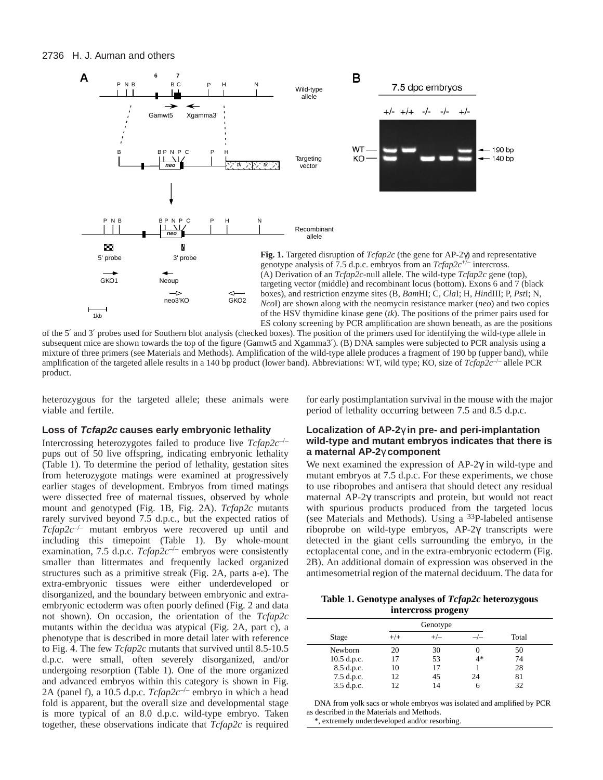

of the 5′ and 3′ probes used for Southern blot analysis (checked boxes). The position of the primers used for identifying the wild-type allele in subsequent mice are shown towards the top of the figure (Gamwt5 and Xgamma3'). (B) DNA samples were subjected to PCR analysis using a mixture of three primers (see Materials and Methods). Amplification of the wild-type allele produces a fragment of 190 bp (upper band), while amplification of the targeted allele results in a 140 bp product (lower band). Abbreviations: WT, wild type; KO, size of *Tcfap2c*–/– allele PCR product.

heterozygous for the targeted allele; these animals were viable and fertile.

# **Loss of Tcfap2c causes early embryonic lethality**

Intercrossing heterozygotes failed to produce live *Tcfap2c*–/– pups out of 50 live offspring, indicating embryonic lethality (Table 1). To determine the period of lethality, gestation sites from heterozygote matings were examined at progressively earlier stages of development. Embryos from timed matings were dissected free of maternal tissues, observed by whole mount and genotyped (Fig. 1B, Fig. 2A). *Tcfap2c* mutants rarely survived beyond 7.5 d.p.c., but the expected ratios of *Tcfap2c*–/– mutant embryos were recovered up until and including this timepoint (Table 1). By whole-mount examination, 7.5 d.p.c. *Tcfap2c<sup>-/-</sup>* embryos were consistently smaller than littermates and frequently lacked organized structures such as a primitive streak (Fig. 2A, parts a-e). The extra-embryonic tissues were either underdeveloped or disorganized, and the boundary between embryonic and extraembryonic ectoderm was often poorly defined (Fig. 2 and data not shown). On occasion, the orientation of the *Tcfap2c* mutants within the decidua was atypical (Fig. 2A, part c), a phenotype that is described in more detail later with reference to Fig. 4. The few *Tcfap2c* mutants that survived until 8.5-10.5 d.p.c. were small, often severely disorganized, and/or undergoing resorption (Table 1). One of the more organized and advanced embryos within this category is shown in Fig. 2A (panel f), a 10.5 d.p.c. *Tcfap2c*–/– embryo in which a head fold is apparent, but the overall size and developmental stage is more typical of an 8.0 d.p.c. wild-type embryo. Taken together, these observations indicate that *Tcfap2c* is required for early postimplantation survival in the mouse with the major period of lethality occurring between 7.5 and 8.5 d.p.c.

# **Localization of AP-2**γ **in pre- and peri-implantation wild-type and mutant embryos indicates that there is a maternal AP-2**γ **component**

We next examined the expression of AP-2γ in wild-type and mutant embryos at 7.5 d.p.c. For these experiments, we chose to use riboprobes and antisera that should detect any residual maternal AP-2γ transcripts and protein, but would not react with spurious products produced from the targeted locus (see Materials and Methods). Using a 33P-labeled antisense riboprobe on wild-type embryos, AP-2γ transcripts were detected in the giant cells surrounding the embryo, in the ectoplacental cone, and in the extra-embryonic ectoderm (Fig. 2B). An additional domain of expression was observed in the antimesometrial region of the maternal deciduum. The data for

**Table 1. Genotype analyses of** *Tcfap2c* **heterozygous intercross progeny**

| Genotype      |          |       |      |       |  |
|---------------|----------|-------|------|-------|--|
| Stage         | $^{+/+}$ | $+/-$ |      | Total |  |
| Newborn       | 20       | 30    |      | 50    |  |
| $10.5$ d.p.c. | 17       | 53    | $4*$ | 74    |  |
| 8.5 d.p.c.    | 10       | 17    |      | 28    |  |
| 7.5 d.p.c.    | 12       | 45    | 24   | 81    |  |
| 3.5 d.p.c.    | 12       | 14    |      | 32    |  |

DNA from yolk sacs or whole embryos was isolated and amplified by PCR as described in the Materials and Methods.

\*, extremely underdeveloped and/or resorbing.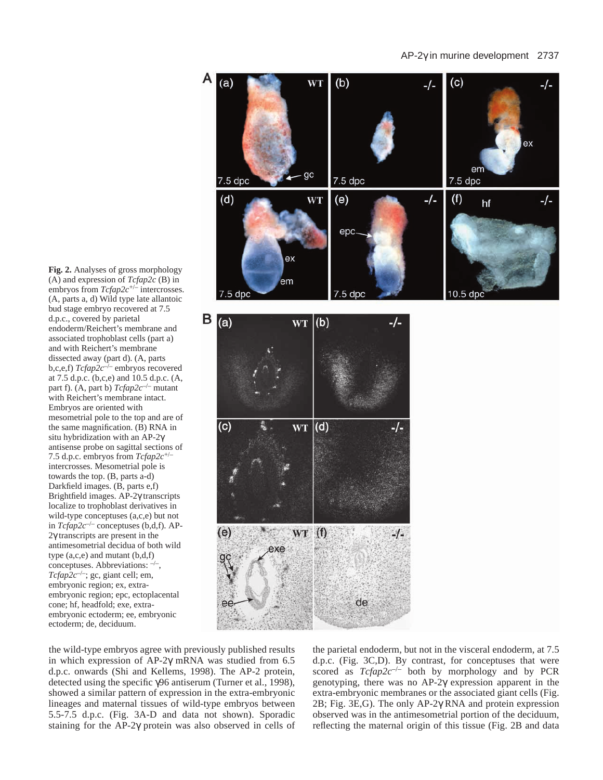# AP-2γ in murine development 2737

A  $(b)$  $(a)$ W<sub>1</sub> (c) -/--/ex em gc 7.5 dpc 7.5 dpc 7.5 dpc  $-/ (d)$ **WT**  $(e)$  $(f)$ -/hf epc ex em 7.5 dpc  $7.5$  dpc  $B(a)$  $(b)$ WT -/- $(c)$  $(d)$ **WT** -/- $(e)$  $WT(f)$  $-1$ exe de

**Fig. 2.** Analyses of gross morphology (A) and expression of *Tcfap2c* (B) in embryos from *Tcfap2c*+/– intercrosses. (A, parts a, d) Wild type late allantoic bud stage embryo recovered at 7.5 d.p.c., covered by parietal endoderm/Reichert's membrane and associated trophoblast cells (part a) and with Reichert's membrane dissected away (part d). (A, parts b,c,e,f) *Tcfap2c*–/– embryos recovered at 7.5 d.p.c. (b,c,e) and 10.5 d.p.c. (A, part f). (A, part b) *Tcfap2c*–/– mutant with Reichert's membrane intact. Embryos are oriented with mesometrial pole to the top and are of the same magnification. (B) RNA in situ hybridization with an AP-2γ antisense probe on sagittal sections of 7.5 d.p.c. embryos from *Tcfap2c*+/– intercrosses. Mesometrial pole is towards the top. (B, parts a-d) Darkfield images. (B, parts e,f) Brightfield images. AP-2γ transcripts localize to trophoblast derivatives in wild-type conceptuses (a,c,e) but not in *Tcfap2c*–/– conceptuses (b,d,f). AP-2γ transcripts are present in the antimesometrial decidua of both wild type (a,c,e) and mutant (b,d,f) conceptuses. Abbreviations:  $\neg$ *Tcfap2c*–/–; gc, giant cell; em, embryonic region; ex, extraembryonic region; epc, ectoplacental cone; hf, headfold; exe, extraembryonic ectoderm; ee, embryonic ectoderm; de, deciduum.

the wild-type embryos agree with previously published results in which expression of AP-2γ mRNA was studied from 6.5 d.p.c. onwards (Shi and Kellems, 1998). The AP-2 protein, detected using the specific γ96 antiserum (Turner et al., 1998), showed a similar pattern of expression in the extra-embryonic lineages and maternal tissues of wild-type embryos between 5.5-7.5 d.p.c. (Fig. 3A-D and data not shown). Sporadic staining for the AP-2γ protein was also observed in cells of the parietal endoderm, but not in the visceral endoderm, at 7.5 d.p.c. (Fig. 3C,D). By contrast, for conceptuses that were scored as *Tcfap2c*–/– both by morphology and by PCR genotyping, there was no AP-2γ expression apparent in the extra-embryonic membranes or the associated giant cells (Fig. 2B; Fig. 3E,G). The only AP-2γ RNA and protein expression observed was in the antimesometrial portion of the deciduum, reflecting the maternal origin of this tissue (Fig. 2B and data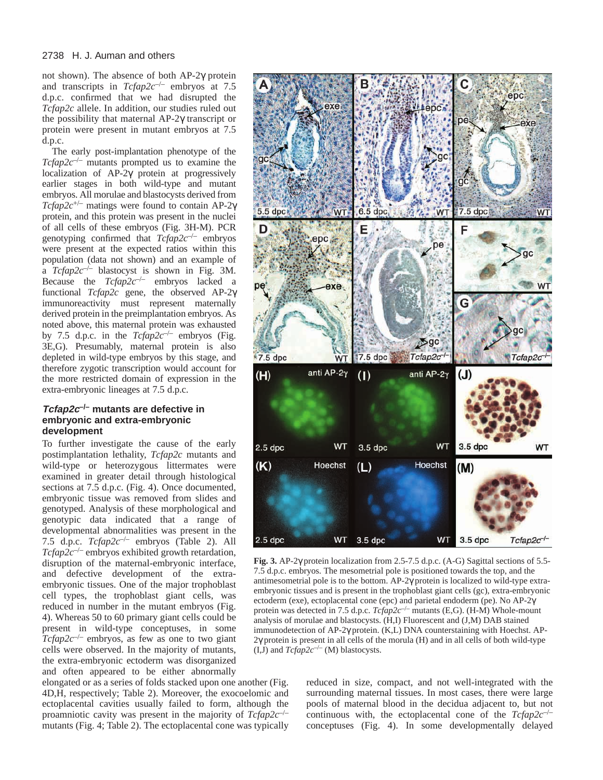not shown). The absence of both AP-2γ protein and transcripts in *Tcfap2c*–/– embryos at 7.5 d.p.c. confirmed that we had disrupted the *Tcfap2c* allele. In addition, our studies ruled out the possibility that maternal AP-2γ transcript or protein were present in mutant embryos at 7.5 d.p.c.

The early post-implantation phenotype of the *Tcfap2c*–/– mutants prompted us to examine the localization of AP-2γ protein at progressively earlier stages in both wild-type and mutant embryos. All morulae and blastocysts derived from *Tcfap2c*+/– matings were found to contain AP-2γ protein, and this protein was present in the nuclei of all cells of these embryos (Fig. 3H-M). PCR genotyping confirmed that *Tcfap2c*–/– embryos were present at the expected ratios within this population (data not shown) and an example of a *Tcfap2c*–/– blastocyst is shown in Fig. 3M. Because the *Tcfap2c*–/– embryos lacked a functional *Tcfap2c* gene, the observed AP-2γ immunoreactivity must represent maternally derived protein in the preimplantation embryos. As noted above, this maternal protein was exhausted by 7.5 d.p.c. in the  $Tcfap2c^{-/-}$  embryos (Fig. 3E,G). Presumably, maternal protein is also depleted in wild-type embryos by this stage, and therefore zygotic transcription would account for the more restricted domain of expression in the extra-embryonic lineages at 7.5 d.p.c.

# **Tcfap2c–/– mutants are defective in embryonic and extra-embryonic development**

To further investigate the cause of the early postimplantation lethality, *Tcfap2c* mutants and wild-type or heterozygous littermates were examined in greater detail through histological sections at 7.5 d.p.c. (Fig. 4). Once documented, embryonic tissue was removed from slides and genotyped. Analysis of these morphological and genotypic data indicated that a range of developmental abnormalities was present in the 7.5 d.p.c. *Tcfap2c*–/– embryos (Table 2). All *Tcfap2c*–/– embryos exhibited growth retardation, disruption of the maternal-embryonic interface, and defective development of the extraembryonic tissues. One of the major trophoblast cell types, the trophoblast giant cells, was reduced in number in the mutant embryos (Fig. 4). Whereas 50 to 60 primary giant cells could be present in wild-type conceptuses, in some  $Tcfap2c^{-/-}$  embryos, as few as one to two giant cells were observed. In the majority of mutants, the extra-embryonic ectoderm was disorganized and often appeared to be either abnormally

elongated or as a series of folds stacked upon one another (Fig. 4D,H, respectively; Table 2). Moreover, the exocoelomic and ectoplacental cavities usually failed to form, although the proamniotic cavity was present in the majority of *Tcfap2c*–/– mutants (Fig. 4; Table 2). The ectoplacental cone was typically



**Fig. 3.** AP-2γ protein localization from 2.5-7.5 d.p.c. (A-G) Sagittal sections of 5.5- 7.5 d.p.c. embryos. The mesometrial pole is positioned towards the top, and the antimesometrial pole is to the bottom. AP-2γ protein is localized to wild-type extraembryonic tissues and is present in the trophoblast giant cells (gc), extra-embryonic ectoderm (exe), ectoplacental cone (epc) and parietal endoderm (pe). No AP-2γ protein was detected in 7.5 d.p.c. *Tcfap2c*–/– mutants (E,G). (H-M) Whole-mount analysis of morulae and blastocysts. (H,I) Fluorescent and (J,M) DAB stained immunodetection of AP-2γ protein. (K,L) DNA counterstaining with Hoechst. AP-2γ protein is present in all cells of the morula (H) and in all cells of both wild-type  $(I,\bar{J})$  and  $Tcfap2c^{-/-}(M)$  blastocysts.

reduced in size, compact, and not well-integrated with the surrounding maternal tissues. In most cases, there were large pools of maternal blood in the decidua adjacent to, but not continuous with, the ectoplacental cone of the *Tcfap2c*–/– conceptuses (Fig. 4). In some developmentally delayed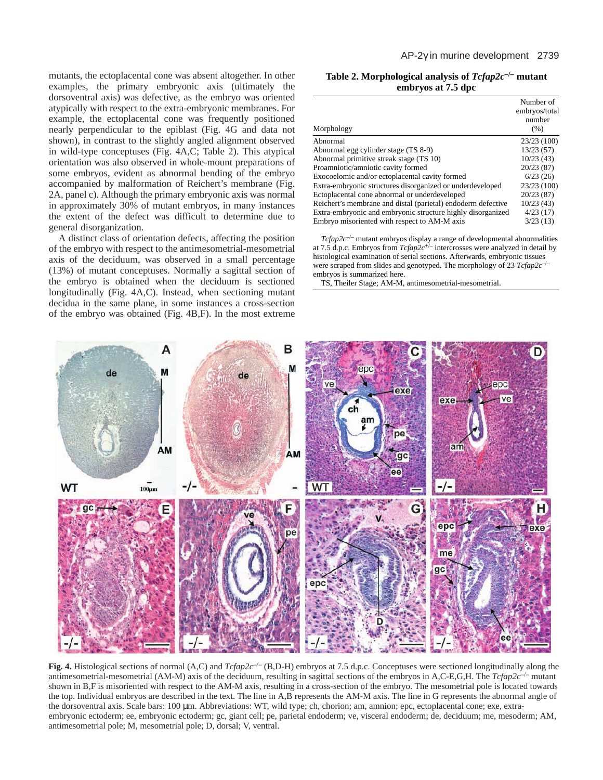mutants, the ectoplacental cone was absent altogether. In other examples, the primary embryonic axis (ultimately the dorsoventral axis) was defective, as the embryo was oriented atypically with respect to the extra-embryonic membranes. For example, the ectoplacental cone was frequently positioned nearly perpendicular to the epiblast (Fig. 4G and data not shown), in contrast to the slightly angled alignment observed in wild-type conceptuses (Fig. 4A,C; Table 2). This atypical orientation was also observed in whole-mount preparations of some embryos, evident as abnormal bending of the embryo accompanied by malformation of Reichert's membrane (Fig. 2A, panel c). Although the primary embryonic axis was normal in approximately 30% of mutant embryos, in many instances the extent of the defect was difficult to determine due to general disorganization.

A distinct class of orientation defects, affecting the position of the embryo with respect to the antimesometrial-mesometrial axis of the deciduum, was observed in a small percentage (13%) of mutant conceptuses. Normally a sagittal section of the embryo is obtained when the deciduum is sectioned longitudinally (Fig. 4A,C). Instead, when sectioning mutant decidua in the same plane, in some instances a cross-section of the embryo was obtained (Fig. 4B,F). In the most extreme

**Table 2. Morphological analysis of** *Tcfap2c***–/– mutant embryos at 7.5 dpc**

| Morphology                                                   | Number of<br>embryos/total<br>number<br>(% ) |
|--------------------------------------------------------------|----------------------------------------------|
| Abnormal                                                     | 23/23(100)                                   |
| Abnormal egg cylinder stage (TS 8-9)                         | 13/23(57)                                    |
| Abnormal primitive streak stage (TS 10)                      | 10/23(43)                                    |
| Proamniotic/amniotic cavity formed                           | 20/23(87)                                    |
| Exocoelomic and/or ectoplacental cavity formed               | 6/23(26)                                     |
| Extra-embryonic structures disorganized or underdeveloped    | 23/23 (100)                                  |
| Ectoplacental cone abnormal or underdeveloped                | 20/23(87)                                    |
| Reichert's membrane and distal (parietal) endoderm defective | 10/23(43)                                    |
| Extra-embryonic and embryonic structure highly disorganized  | 4/23(17)                                     |
| Embryo misoriented with respect to AM-M axis                 | 3/23(13)                                     |

*Tcfap2c*–/– mutant embryos display a range of developmental abnormalities at 7.5 d.p.c. Embryos from *Tcfap2c*+/– intercrosses were analyzed in detail by histological examination of serial sections. Afterwards, embryonic tissues were scraped from slides and genotyped. The morphology of 23 *Tcfap2c*–/– embryos is summarized here.

TS, Theiler Stage; AM-M, antimesometrial-mesometrial.



**Fig. 4.** Histological sections of normal (A,C) and *Tcfap2c<sup>-/-</sup>* (B,D-H) embryos at 7.5 d.p.c. Conceptuses were sectioned longitudinally along the antimesometrial-mesometrial (AM-M) axis of the deciduum, resulting in sagittal sections of the embryos in A,C-E,G,H. The  $Tc f a p 2c^{-/-}$  mutant shown in B,F is misoriented with respect to the AM-M axis, resulting in a cross-section of the embryo. The mesometrial pole is located towards the top. Individual embryos are described in the text. The line in A,B represents the AM-M axis. The line in G represents the abnormal angle of the dorsoventral axis. Scale bars: 100 µm. Abbreviations: WT, wild type; ch, chorion; am, amnion; epc, ectoplacental cone; exe, extraembryonic ectoderm; ee, embryonic ectoderm; gc, giant cell; pe, parietal endoderm; ve, visceral endoderm; de, deciduum; me, mesoderm; AM, antimesometrial pole; M, mesometrial pole; D, dorsal; V, ventral.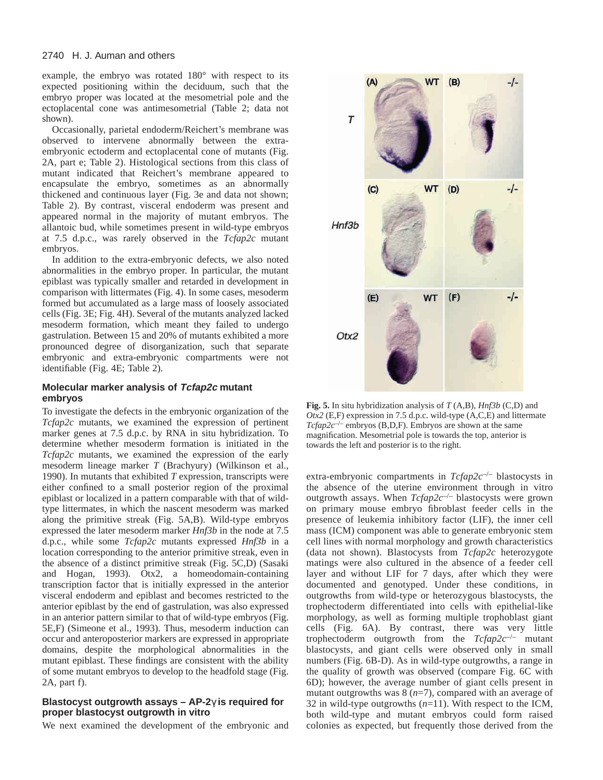# 2740 H. J. Auman and others

example, the embryo was rotated 180° with respect to its expected positioning within the deciduum, such that the embryo proper was located at the mesometrial pole and the ectoplacental cone was antimesometrial (Table 2; data not shown).

Occasionally, parietal endoderm/Reichert's membrane was observed to intervene abnormally between the extraembryonic ectoderm and ectoplacental cone of mutants (Fig. 2A, part e; Table 2). Histological sections from this class of mutant indicated that Reichert's membrane appeared to encapsulate the embryo, sometimes as an abnormally thickened and continuous layer (Fig. 3e and data not shown; Table 2). By contrast, visceral endoderm was present and appeared normal in the majority of mutant embryos. The allantoic bud, while sometimes present in wild-type embryos at 7.5 d.p.c., was rarely observed in the *Tcfap2c* mutant embryos.

In addition to the extra-embryonic defects, we also noted abnormalities in the embryo proper. In particular, the mutant epiblast was typically smaller and retarded in development in comparison with littermates (Fig. 4). In some cases, mesoderm formed but accumulated as a large mass of loosely associated cells (Fig. 3E; Fig. 4H). Several of the mutants analyzed lacked mesoderm formation, which meant they failed to undergo gastrulation. Between 15 and 20% of mutants exhibited a more pronounced degree of disorganization, such that separate embryonic and extra-embryonic compartments were not identifiable (Fig. 4E; Table 2).

# **Molecular marker analysis of Tcfap2c mutant embryos**

To investigate the defects in the embryonic organization of the *Tcfap2c* mutants, we examined the expression of pertinent marker genes at 7.5 d.p.c. by RNA in situ hybridization. To determine whether mesoderm formation is initiated in the *Tcfap2c* mutants, we examined the expression of the early mesoderm lineage marker *T* (Brachyury) (Wilkinson et al., 1990). In mutants that exhibited *T* expression, transcripts were either confined to a small posterior region of the proximal epiblast or localized in a pattern comparable with that of wildtype littermates, in which the nascent mesoderm was marked along the primitive streak (Fig. 5A,B). Wild-type embryos expressed the later mesoderm marker *Hnf3b* in the node at 7.5 d.p.c., while some *Tcfap2c* mutants expressed *Hnf3b* in a location corresponding to the anterior primitive streak, even in the absence of a distinct primitive streak (Fig. 5C,D) (Sasaki and Hogan, 1993). Otx2, a homeodomain-containing transcription factor that is initially expressed in the anterior visceral endoderm and epiblast and becomes restricted to the anterior epiblast by the end of gastrulation, was also expressed in an anterior pattern similar to that of wild-type embryos (Fig. 5E,F) (Simeone et al., 1993). Thus, mesoderm induction can occur and anteroposterior markers are expressed in appropriate domains, despite the morphological abnormalities in the mutant epiblast. These findings are consistent with the ability of some mutant embryos to develop to the headfold stage (Fig. 2A, part f).

# **Blastocyst outgrowth assays – AP-2**γ **is required for proper blastocyst outgrowth in vitro**

We next examined the development of the embryonic and



**Fig. 5.** In situ hybridization analysis of *T* (A,B), *Hnf3b* (C,D) and *Otx2* (E,F) expression in 7.5 d.p.c. wild-type (A,C,E) and littermate  $Tcfap2c^{-/-}$  embryos (B,D,F). Embryos are shown at the same magnification. Mesometrial pole is towards the top, anterior is towards the left and posterior is to the right.

extra-embryonic compartments in *Tcfap2c*–/– blastocysts in the absence of the uterine environment through in vitro outgrowth assays. When *Tcfap2c*–/– blastocysts were grown on primary mouse embryo fibroblast feeder cells in the presence of leukemia inhibitory factor (LIF), the inner cell mass (ICM) component was able to generate embryonic stem cell lines with normal morphology and growth characteristics (data not shown). Blastocysts from *Tcfap2c* heterozygote matings were also cultured in the absence of a feeder cell layer and without LIF for 7 days, after which they were documented and genotyped. Under these conditions, in outgrowths from wild-type or heterozygous blastocysts, the trophectoderm differentiated into cells with epithelial-like morphology, as well as forming multiple trophoblast giant cells (Fig. 6A). By contrast, there was very little trophectoderm outgrowth from the *Tcfap2c*–/– mutant blastocysts, and giant cells were observed only in small numbers (Fig. 6B-D). As in wild-type outgrowths, a range in the quality of growth was observed (compare Fig. 6C with 6D); however, the average number of giant cells present in mutant outgrowths was 8 (*n*=7), compared with an average of 32 in wild-type outgrowths (*n*=11). With respect to the ICM, both wild-type and mutant embryos could form raised colonies as expected, but frequently those derived from the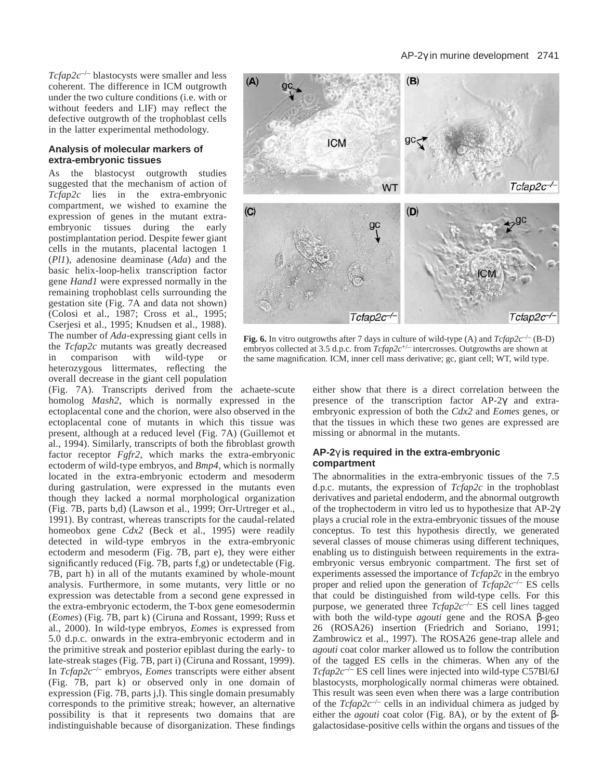*Tcfap2c*–/– blastocysts were smaller and less coherent. The difference in ICM outgrowth under the two culture conditions (i.e. with or without feeders and LIF) may reflect the defective outgrowth of the trophoblast cells in the latter experimental methodology.

#### **Analysis of molecular markers of extra-embryonic tissues**

As the blastocyst outgrowth studies suggested that the mechanism of action of *Tcfap2c* lies in the extra-embryonic compartment, we wished to examine the expression of genes in the mutant extraembryonic tissues during the early postimplantation period. Despite fewer giant cells in the mutants, placental lactogen 1 (*Pl1*), adenosine deaminase (*Ada*) and the basic helix-loop-helix transcription factor gene *Hand1* were expressed normally in the remaining trophoblast cells surrounding the gestation site (Fig. 7A and data not shown) (Colosi et al., 1987; Cross et al., 1995; Cserjesi et al., 1995; Knudsen et al., 1988). The number of *Ada*-expressing giant cells in the *Tcfap2c* mutants was greatly decreased<br>in comparison with wild-type or in comparison with wild-type or heterozygous littermates, reflecting the overall decrease in the giant cell population

(Fig. 7A). Transcripts derived from the achaete-scute homolog *Mash2*, which is normally expressed in the ectoplacental cone and the chorion, were also observed in the ectoplacental cone of mutants in which this tissue was present, although at a reduced level (Fig. 7A) (Guillemot et al., 1994). Similarly, transcripts of both the fibroblast growth factor receptor *Fgfr2*, which marks the extra-embryonic ectoderm of wild-type embryos, and *Bmp4*, which is normally located in the extra-embryonic ectoderm and mesoderm during gastrulation, were expressed in the mutants even though they lacked a normal morphological organization (Fig. 7B, parts b,d) (Lawson et al., 1999; Orr-Urtreger et al., 1991). By contrast, whereas transcripts for the caudal-related homeobox gene *Cdx2* (Beck et al., 1995) were readily detected in wild-type embryos in the extra-embryonic ectoderm and mesoderm (Fig. 7B, part e), they were either significantly reduced (Fig. 7B, parts f,g) or undetectable (Fig. 7B, part h) in all of the mutants examined by whole-mount analysis. Furthermore, in some mutants, very little or no expression was detectable from a second gene expressed in the extra-embryonic ectoderm, the T-box gene eomesodermin (*Eomes*) (Fig. 7B, part k) (Ciruna and Rossant, 1999; Russ et al., 2000). In wild-type embryos, *Eomes* is expressed from 5.0 d.p.c. onwards in the extra-embryonic ectoderm and in the primitive streak and posterior epiblast during the early- to late-streak stages (Fig. 7B, part i) (Ciruna and Rossant, 1999). In *Tcfap2c*–/– embryos, *Eomes* transcripts were either absent (Fig. 7B, part k) or observed only in one domain of expression (Fig. 7B, parts j,l). This single domain presumably corresponds to the primitive streak; however, an alternative possibility is that it represents two domains that are indistinguishable because of disorganization. These findings



**Fig. 6.** In vitro outgrowths after 7 days in culture of wild-type (A) and  $Tcfap2c^{-/-}$  (B-D) embryos collected at 3.5 d.p.c. from *Tcfap2c*+/– intercrosses. Outgrowths are shown at the same magnification. ICM, inner cell mass derivative; gc, giant cell; WT, wild type.

either show that there is a direct correlation between the presence of the transcription factor AP-2γ and extraembryonic expression of both the *Cdx2* and *Eomes* genes, or that the tissues in which these two genes are expressed are missing or abnormal in the mutants.

# **AP-2**γ **is required in the extra-embryonic compartment**

The abnormalities in the extra-embryonic tissues of the 7.5 d.p.c. mutants, the expression of *Tcfap2c* in the trophoblast derivatives and parietal endoderm, and the abnormal outgrowth of the trophectoderm in vitro led us to hypothesize that AP-2γ plays a crucial role in the extra-embryonic tissues of the mouse conceptus. To test this hypothesis directly, we generated several classes of mouse chimeras using different techniques, enabling us to distinguish between requirements in the extraembryonic versus embryonic compartment. The first set of experiments assessed the importance of *Tcfap2c* in the embryo proper and relied upon the generation of *Tcfap2c*–/– ES cells that could be distinguished from wild-type cells. For this purpose, we generated three *Tcfap2c*–/– ES cell lines tagged with both the wild-type *agouti* gene and the ROSA β-geo 26 (ROSA26) insertion (Friedrich and Soriano, 1991; Zambrowicz et al., 1997). The ROSA26 gene-trap allele and *agouti* coat color marker allowed us to follow the contribution of the tagged ES cells in the chimeras. When any of the *Tcfap2c*–/– ES cell lines were injected into wild-type C57Bl/6J blastocysts, morphologically normal chimeras were obtained. This result was seen even when there was a large contribution of the *Tcfap2c*–/– cells in an individual chimera as judged by either the *agouti* coat color (Fig. 8A), or by the extent of βgalactosidase-positive cells within the organs and tissues of the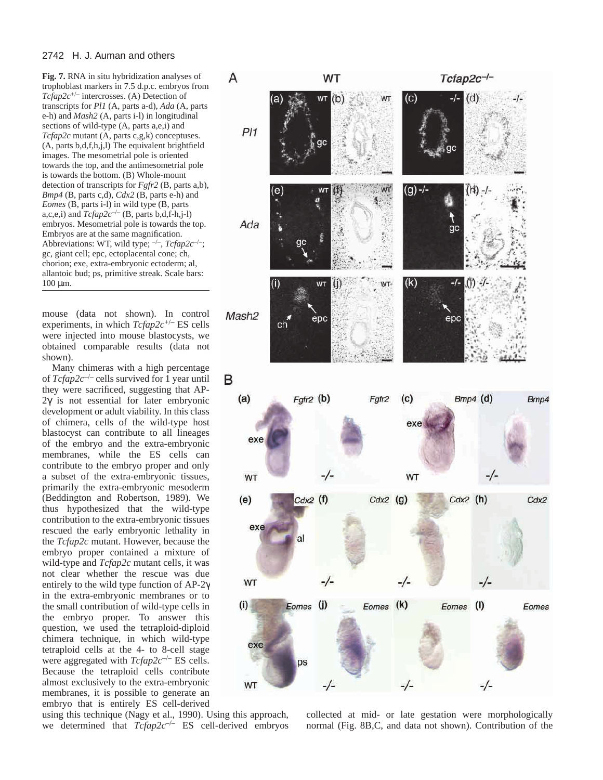#### 2742 H. J. Auman and others

**Fig. 7.** RNA in situ hybridization analyses of trophoblast markers in 7.5 d.p.c. embryos from *Tcfap2c*+/– intercrosses. (A) Detection of transcripts for *Pl1* (A, parts a-d), *Ada* (A, parts e-h) and *Mash2* (A, parts i-l) in longitudinal sections of wild-type (A, parts a,e,i) and *Tcfap2c* mutant (A, parts c,g,k) conceptuses. (A, parts b,d,f,h,j,l) The equivalent brightfield images. The mesometrial pole is oriented towards the top, and the antimesometrial pole is towards the bottom. (B) Whole-mount detection of transcripts for *Fgfr2* (B, parts a,b), *Bmp4* (B, parts c,d), *Cdx2* (B, parts e-h) and *Eomes* (B, parts i-l) in wild type (B, parts a,c,e,i) and  $Tcfap2c^{-/-}$  (B, parts b,d,f-h,j-l) embryos. Mesometrial pole is towards the top. Embryos are at the same magnification. Abbreviations: WT, wild type;  $\frac{-}{\cdot}$ , *Tcfap2c*<sup>-/-</sup>; gc, giant cell; epc, ectoplacental cone; ch, chorion; exe, extra-embryonic ectoderm; al, allantoic bud; ps, primitive streak. Scale bars:  $100 \mu m$ .

mouse (data not shown). In control experiments, in which *Tcfap2c*+/– ES cells were injected into mouse blastocysts, we obtained comparable results (data not shown).

Many chimeras with a high percentage of *Tcfap2c*–/– cells survived for 1 year until they were sacrificed, suggesting that AP-2γ is not essential for later embryonic development or adult viability. In this class of chimera, cells of the wild-type host blastocyst can contribute to all lineages of the embryo and the extra-embryonic membranes, while the ES cells can contribute to the embryo proper and only a subset of the extra-embryonic tissues, primarily the extra-embryonic mesoderm (Beddington and Robertson, 1989). We thus hypothesized that the wild-type contribution to the extra-embryonic tissues rescued the early embryonic lethality in the *Tcfap2c* mutant. However, because the embryo proper contained a mixture of wild-type and *Tcfap2c* mutant cells, it was not clear whether the rescue was due entirely to the wild type function of AP-2γ in the extra-embryonic membranes or to the small contribution of wild-type cells in the embryo proper. To answer this question, we used the tetraploid-diploid chimera technique, in which wild-type tetraploid cells at the 4- to 8-cell stage were aggregated with *Tcfap2c*–/– ES cells. Because the tetraploid cells contribute almost exclusively to the extra-embryonic membranes, it is possible to generate an embryo that is entirely ES cell-derived

Ada  $(\mathsf{k})$ WT  $\left( i\right)$ Mash<sub>2</sub> epc epc ch в Fgfr2 (b)  $(a)$  $(c)$  $Bmp4$  (d) Fgfr2 exe -/--/-WT WT  $Cdx2$  (f)  $Cdx2$  (h) (e)  $Cdx2$  (g) exe a  $-/-$ -/-WT  $(i)$ Eomes (J) Eomes (K)  $(1)$ Eomes

using this technique (Nagy et al., 1990). Using this approach, we determined that *Tcfap2c*–/– ES cell-derived embryos

collected at mid- or late gestation were morphologically normal (Fig. 8B,C, and data not shown). Contribution of the

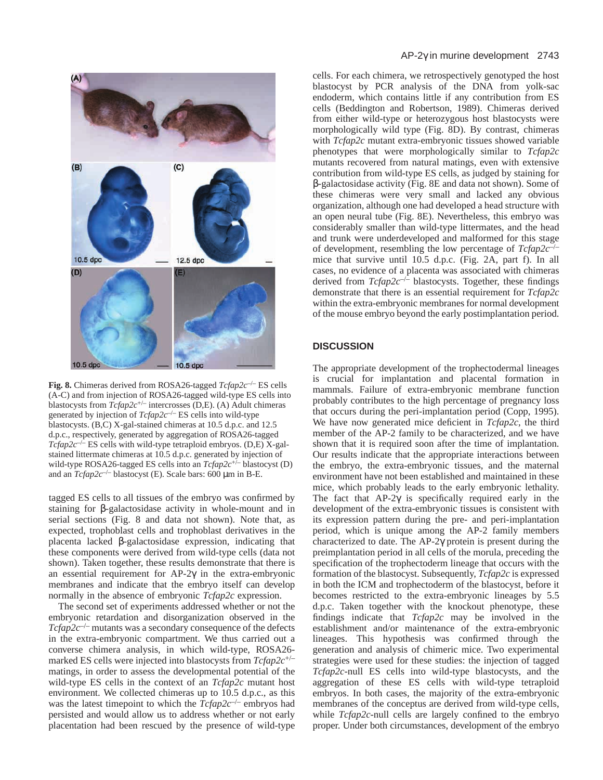

**Fig. 8.** Chimeras derived from ROSA26-tagged *Tcfap2c*–/– ES cells (A-C) and from injection of ROSA26-tagged wild-type ES cells into blastocysts from *Tcfap2c*+/– intercrosses (D,E). (A) Adult chimeras generated by injection of *Tcfap2c*–/– ES cells into wild-type blastocysts. (B,C) X-gal-stained chimeras at 10.5 d.p.c. and 12.5 d.p.c., respectively, generated by aggregation of ROSA26-tagged  $Tcfap2c^{-/-}$  ES cells with wild-type tetraploid embryos. (D,E) X-galstained littermate chimeras at 10.5 d.p.c. generated by injection of wild-type ROSA26-tagged ES cells into an *Tcfap2c*+/– blastocyst (D) and an *Tcfap2c*–/– blastocyst (E). Scale bars: 600 µm in B-E.

tagged ES cells to all tissues of the embryo was confirmed by staining for β-galactosidase activity in whole-mount and in serial sections (Fig. 8 and data not shown). Note that, as expected, trophoblast cells and trophoblast derivatives in the placenta lacked β-galactosidase expression, indicating that these components were derived from wild-type cells (data not shown). Taken together, these results demonstrate that there is an essential requirement for AP-2γ in the extra-embryonic membranes and indicate that the embryo itself can develop normally in the absence of embryonic *Tcfap2c* expression.

The second set of experiments addressed whether or not the embryonic retardation and disorganization observed in the *Tcfap2c*–/– mutants was a secondary consequence of the defects in the extra-embryonic compartment. We thus carried out a converse chimera analysis, in which wild-type, ROSA26 marked ES cells were injected into blastocysts from *Tcfap2c*+/– matings, in order to assess the developmental potential of the wild-type ES cells in the context of an *Tcfap2c* mutant host environment. We collected chimeras up to 10.5 d.p.c., as this was the latest timepoint to which the *Tcfap2c<sup>-/-</sup>* embryos had persisted and would allow us to address whether or not early placentation had been rescued by the presence of wild-type

cells. For each chimera, we retrospectively genotyped the host blastocyst by PCR analysis of the DNA from yolk-sac endoderm, which contains little if any contribution from ES cells (Beddington and Robertson, 1989). Chimeras derived from either wild-type or heterozygous host blastocysts were morphologically wild type (Fig. 8D). By contrast, chimeras with *Tcfap2c* mutant extra-embryonic tissues showed variable phenotypes that were morphologically similar to *Tcfap2c* mutants recovered from natural matings, even with extensive contribution from wild-type ES cells, as judged by staining for β-galactosidase activity (Fig. 8E and data not shown). Some of these chimeras were very small and lacked any obvious organization, although one had developed a head structure with an open neural tube (Fig. 8E). Nevertheless, this embryo was considerably smaller than wild-type littermates, and the head and trunk were underdeveloped and malformed for this stage of development, resembling the low percentage of *Tcfap2c*–/– mice that survive until 10.5 d.p.c. (Fig. 2A, part f). In all cases, no evidence of a placenta was associated with chimeras derived from *Tcfap2c<sup>-/-</sup>* blastocysts. Together, these findings demonstrate that there is an essential requirement for *Tcfap2c* within the extra-embryonic membranes for normal development of the mouse embryo beyond the early postimplantation period.

# **DISCUSSION**

The appropriate development of the trophectodermal lineages is crucial for implantation and placental formation in mammals. Failure of extra-embryonic membrane function probably contributes to the high percentage of pregnancy loss that occurs during the peri-implantation period (Copp, 1995). We have now generated mice deficient in *Tcfap2c*, the third member of the AP-2 family to be characterized, and we have shown that it is required soon after the time of implantation. Our results indicate that the appropriate interactions between the embryo, the extra-embryonic tissues, and the maternal environment have not been established and maintained in these mice, which probably leads to the early embryonic lethality. The fact that  $AP-2\gamma$  is specifically required early in the development of the extra-embryonic tissues is consistent with its expression pattern during the pre- and peri-implantation period, which is unique among the AP-2 family members characterized to date. The AP-2γ protein is present during the preimplantation period in all cells of the morula, preceding the specification of the trophectoderm lineage that occurs with the formation of the blastocyst. Subsequently, *Tcfap2c* is expressed in both the ICM and trophectoderm of the blastocyst, before it becomes restricted to the extra-embryonic lineages by 5.5 d.p.c. Taken together with the knockout phenotype, these findings indicate that *Tcfap2c* may be involved in the establishment and/or maintenance of the extra-embryonic lineages. This hypothesis was confirmed through the generation and analysis of chimeric mice. Two experimental strategies were used for these studies: the injection of tagged *Tcfap2c*-null ES cells into wild-type blastocysts, and the aggregation of these ES cells with wild-type tetraploid embryos. In both cases, the majority of the extra-embryonic membranes of the conceptus are derived from wild-type cells, while *Tcfap2c*-null cells are largely confined to the embryo proper. Under both circumstances, development of the embryo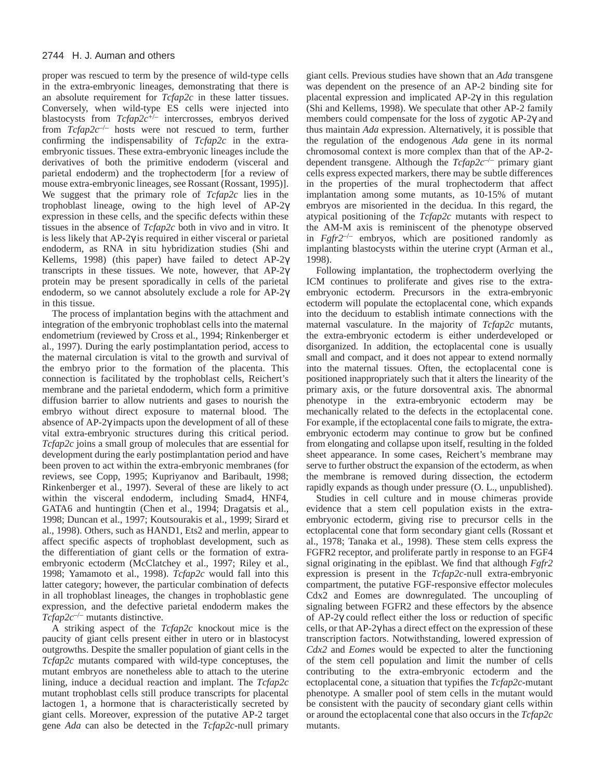proper was rescued to term by the presence of wild-type cells in the extra-embryonic lineages, demonstrating that there is an absolute requirement for *Tcfap2c* in these latter tissues. Conversely, when wild-type ES cells were injected into blastocysts from *Tcfap2c*+/– intercrosses, embryos derived from *Tcfap2c*–/– hosts were not rescued to term, further confirming the indispensability of *Tcfap2c* in the extraembryonic tissues. These extra-embryonic lineages include the derivatives of both the primitive endoderm (visceral and parietal endoderm) and the trophectoderm [for a review of mouse extra-embryonic lineages, see Rossant (Rossant, 1995)]. We suggest that the primary role of *Tcfap2c* lies in the trophoblast lineage, owing to the high level of AP-2γ expression in these cells, and the specific defects within these tissues in the absence of *Tcfap2c* both in vivo and in vitro. It is less likely that AP-2γ is required in either visceral or parietal endoderm, as RNA in situ hybridization studies (Shi and Kellems, 1998) (this paper) have failed to detect AP-2γ transcripts in these tissues. We note, however, that AP-2γ protein may be present sporadically in cells of the parietal endoderm, so we cannot absolutely exclude a role for AP-2γ in this tissue.

The process of implantation begins with the attachment and integration of the embryonic trophoblast cells into the maternal endometrium (reviewed by Cross et al., 1994; Rinkenberger et al., 1997). During the early postimplantation period, access to the maternal circulation is vital to the growth and survival of the embryo prior to the formation of the placenta. This connection is facilitated by the trophoblast cells, Reichert's membrane and the parietal endoderm, which form a primitive diffusion barrier to allow nutrients and gases to nourish the embryo without direct exposure to maternal blood. The absence of AP-2γ impacts upon the development of all of these vital extra-embryonic structures during this critical period. *Tcfap2c* joins a small group of molecules that are essential for development during the early postimplantation period and have been proven to act within the extra-embryonic membranes (for reviews, see Copp, 1995; Kupriyanov and Baribault, 1998; Rinkenberger et al., 1997). Several of these are likely to act within the visceral endoderm, including Smad4, HNF4, GATA6 and huntingtin (Chen et al., 1994; Dragatsis et al., 1998; Duncan et al., 1997; Koutsourakis et al., 1999; Sirard et al., 1998). Others, such as HAND1, Ets2 and merlin, appear to affect specific aspects of trophoblast development, such as the differentiation of giant cells or the formation of extraembryonic ectoderm (McClatchey et al., 1997; Riley et al., 1998; Yamamoto et al., 1998). *Tcfap2c* would fall into this latter category; however, the particular combination of defects in all trophoblast lineages, the changes in trophoblastic gene expression, and the defective parietal endoderm makes the *Tcfap2c*–/– mutants distinctive.

A striking aspect of the *Tcfap2c* knockout mice is the paucity of giant cells present either in utero or in blastocyst outgrowths. Despite the smaller population of giant cells in the *Tcfap2c* mutants compared with wild-type conceptuses, the mutant embryos are nonetheless able to attach to the uterine lining, induce a decidual reaction and implant. The *Tcfap2c* mutant trophoblast cells still produce transcripts for placental lactogen 1, a hormone that is characteristically secreted by giant cells. Moreover, expression of the putative AP-2 target gene *Ada* can also be detected in the *Tcfap2c*-null primary

giant cells. Previous studies have shown that an *Ada* transgene was dependent on the presence of an AP-2 binding site for placental expression and implicated AP-2γ in this regulation (Shi and Kellems, 1998). We speculate that other AP-2 family members could compensate for the loss of zygotic AP-2γ and thus maintain *Ada* expression. Alternatively, it is possible that the regulation of the endogenous *Ada* gene in its normal chromosomal context is more complex than that of the AP-2 dependent transgene. Although the *Tcfap2c*–/– primary giant cells express expected markers, there may be subtle differences in the properties of the mural trophectoderm that affect implantation among some mutants, as 10-15% of mutant embryos are misoriented in the decidua. In this regard, the atypical positioning of the *Tcfap2c* mutants with respect to the AM-M axis is reminiscent of the phenotype observed in  $Fgfr2^{-/-}$  embryos, which are positioned randomly as implanting blastocysts within the uterine crypt (Arman et al., 1998).

Following implantation, the trophectoderm overlying the ICM continues to proliferate and gives rise to the extraembryonic ectoderm. Precursors in the extra-embryonic ectoderm will populate the ectoplacental cone, which expands into the deciduum to establish intimate connections with the maternal vasculature. In the majority of *Tcfap2c* mutants, the extra-embryonic ectoderm is either underdeveloped or disorganized. In addition, the ectoplacental cone is usually small and compact, and it does not appear to extend normally into the maternal tissues. Often, the ectoplacental cone is positioned inappropriately such that it alters the linearity of the primary axis, or the future dorsoventral axis. The abnormal phenotype in the extra-embryonic ectoderm may be mechanically related to the defects in the ectoplacental cone. For example, if the ectoplacental cone fails to migrate, the extraembryonic ectoderm may continue to grow but be confined from elongating and collapse upon itself, resulting in the folded sheet appearance. In some cases, Reichert's membrane may serve to further obstruct the expansion of the ectoderm, as when the membrane is removed during dissection, the ectoderm rapidly expands as though under pressure (O. L., unpublished).

Studies in cell culture and in mouse chimeras provide evidence that a stem cell population exists in the extraembryonic ectoderm, giving rise to precursor cells in the ectoplacental cone that form secondary giant cells (Rossant et al., 1978; Tanaka et al., 1998). These stem cells express the FGFR2 receptor, and proliferate partly in response to an FGF4 signal originating in the epiblast. We find that although *Fgfr2* expression is present in the *Tcfap2c-*null extra-embryonic compartment, the putative FGF-responsive effector molecules Cdx2 and Eomes are downregulated. The uncoupling of signaling between FGFR2 and these effectors by the absence of AP-2γ could reflect either the loss or reduction of specific cells, or that AP-2γ has a direct effect on the expression of these transcription factors. Notwithstanding, lowered expression of *Cdx2* and *Eomes* would be expected to alter the functioning of the stem cell population and limit the number of cells contributing to the extra-embryonic ectoderm and the ectoplacental cone, a situation that typifies the *Tcfap2c*-mutant phenotype. A smaller pool of stem cells in the mutant would be consistent with the paucity of secondary giant cells within or around the ectoplacental cone that also occurs in the *Tcfap2c* mutants.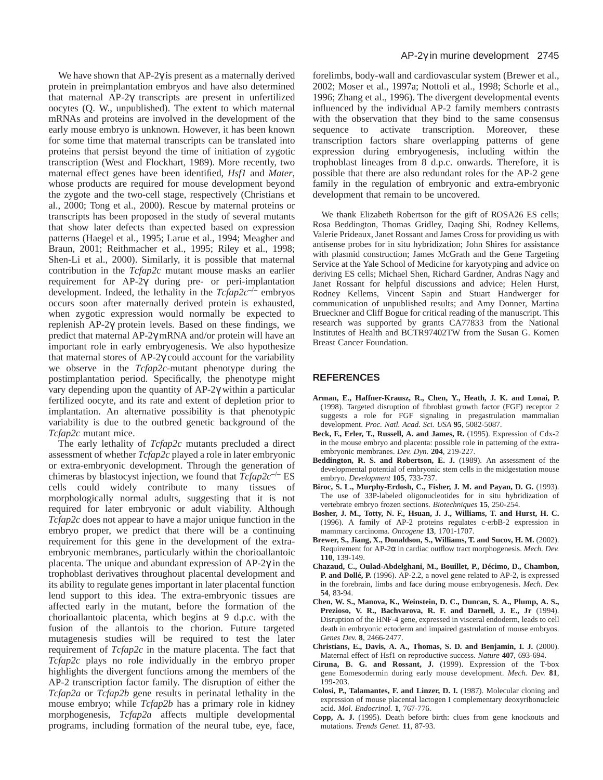We have shown that  $AP-2\gamma$  is present as a maternally derived protein in preimplantation embryos and have also determined that maternal AP-2γ transcripts are present in unfertilized oocytes (Q. W., unpublished). The extent to which maternal mRNAs and proteins are involved in the development of the early mouse embryo is unknown. However, it has been known for some time that maternal transcripts can be translated into proteins that persist beyond the time of initiation of zygotic transcription (West and Flockhart, 1989). More recently, two maternal effect genes have been identified, *Hsf1* and *Mater*, whose products are required for mouse development beyond the zygote and the two-cell stage, respectively (Christians et al., 2000; Tong et al., 2000). Rescue by maternal proteins or transcripts has been proposed in the study of several mutants that show later defects than expected based on expression patterns (Haegel et al., 1995; Larue et al., 1994; Meagher and Braun, 2001; Reithmacher et al., 1995; Riley et al., 1998; Shen-Li et al., 2000). Similarly, it is possible that maternal contribution in the *Tcfap2c* mutant mouse masks an earlier requirement for AP-2γ during pre- or peri-implantation development. Indeed, the lethality in the *Tcfap2c*–/– embryos occurs soon after maternally derived protein is exhausted, when zygotic expression would normally be expected to replenish AP-2γ protein levels. Based on these findings, we predict that maternal AP-2γ mRNA and/or protein will have an important role in early embryogenesis. We also hypothesize that maternal stores of AP-2γ could account for the variability we observe in the *Tcfap2c*-mutant phenotype during the postimplantation period. Specifically, the phenotype might vary depending upon the quantity of AP-2γ within a particular fertilized oocyte, and its rate and extent of depletion prior to implantation. An alternative possibility is that phenotypic variability is due to the outbred genetic background of the *Tcfap2c* mutant mice.

The early lethality of *Tcfap2c* mutants precluded a direct assessment of whether *Tcfap2c* played a role in later embryonic or extra-embryonic development. Through the generation of chimeras by blastocyst injection, we found that *Tcfap2c*–/– ES cells could widely contribute to many tissues of morphologically normal adults, suggesting that it is not required for later embryonic or adult viability. Although *Tcfap2c* does not appear to have a major unique function in the embryo proper, we predict that there will be a continuing requirement for this gene in the development of the extraembryonic membranes, particularly within the chorioallantoic placenta. The unique and abundant expression of AP-2γ in the trophoblast derivatives throughout placental development and its ability to regulate genes important in later placental function lend support to this idea. The extra-embryonic tissues are affected early in the mutant, before the formation of the chorioallantoic placenta, which begins at 9 d.p.c. with the fusion of the allantois to the chorion. Future targeted mutagenesis studies will be required to test the later requirement of *Tcfap2c* in the mature placenta. The fact that *Tcfap2c* plays no role individually in the embryo proper highlights the divergent functions among the members of the AP-2 transcription factor family. The disruption of either the *Tcfap2a* or *Tcfap2b* gene results in perinatal lethality in the mouse embryo; while *Tcfap2b* has a primary role in kidney morphogenesis, *Tcfap2a* affects multiple developmental programs, including formation of the neural tube, eye, face,

forelimbs, body-wall and cardiovascular system (Brewer et al., 2002; Moser et al., 1997a; Nottoli et al., 1998; Schorle et al., 1996; Zhang et al., 1996). The divergent developmental events influenced by the individual AP-2 family members contrasts with the observation that they bind to the same consensus sequence to activate transcription. Moreover, these transcription factors share overlapping patterns of gene expression during embryogenesis, including within the trophoblast lineages from 8 d.p.c. onwards. Therefore, it is possible that there are also redundant roles for the AP-2 gene family in the regulation of embryonic and extra-embryonic development that remain to be uncovered.

We thank Elizabeth Robertson for the gift of ROSA26 ES cells; Rosa Beddington, Thomas Gridley, Daqing Shi, Rodney Kellems, Valerie Prideaux, Janet Rossant and James Cross for providing us with antisense probes for in situ hybridization; John Shires for assistance with plasmid construction; James McGrath and the Gene Targeting Service at the Yale School of Medicine for karyotyping and advice on deriving ES cells; Michael Shen, Richard Gardner, Andras Nagy and Janet Rossant for helpful discussions and advice; Helen Hurst, Rodney Kellems, Vincent Sapin and Stuart Handwerger for communication of unpublished results; and Amy Donner, Martina Brueckner and Cliff Bogue for critical reading of the manuscript. This research was supported by grants CA77833 from the National Institutes of Health and BCTR97402TW from the Susan G. Komen Breast Cancer Foundation.

#### **REFERENCES**

- **Arman, E., Haffner-Krausz, R., Chen, Y., Heath, J. K. and Lonai, P.** (1998). Targeted disruption of fibroblast growth factor (FGF) receptor 2 suggests a role for FGF signaling in pregastrulation mammalian development. *Proc. Natl. Acad. Sci. USA* **95**, 5082-5087.
- **Beck, F., Erler, T., Russell, A. and James, R.** (1995). Expression of Cdx-2 in the mouse embryo and placenta: possible role in patterning of the extraembryonic membranes. *Dev. Dyn.* **204**, 219-227.
- **Beddington, R. S. and Robertson, E. J.** (1989). An assessment of the developmental potential of embryonic stem cells in the midgestation mouse embryo. *Development* **105**, 733-737.
- **Biroc, S. L., Murphy-Erdosh, C., Fisher, J. M. and Payan, D. G.** (1993). The use of 33P-labeled oligonucleotides for in situ hybridization of vertebrate embryo frozen sections. *Biotechniques* **15**, 250-254.
- **Bosher, J. M., Totty, N. F., Hsuan, J. J., Williams, T. and Hurst, H. C.** (1996). A family of AP-2 proteins regulates c-erbB-2 expression in mammary carcinoma. *Oncogene* **13**, 1701-1707.
- **Brewer, S., Jiang, X., Donaldson, S., Williams, T. and Sucov, H. M.** (2002). Requirement for AP-2α in cardiac outflow tract morphogenesis. *Mech. Dev.* **110**, 139-149.
- **Chazaud, C., Oulad-Abdelghani, M., Bouillet, P., Décimo, D., Chambon, P. and Dollé, P.** (1996). AP-2.2, a novel gene related to AP-2, is expressed in the forebrain, limbs and face during mouse embryogenesis. *Mech. Dev.* **54**, 83-94.
- **Chen, W. S., Manova, K., Weinstein, D. C., Duncan, S. A., Plump, A. S., Prezioso, V. R., Bachvarova, R. F. and Darnell, J. E., Jr** (1994). Disruption of the HNF-4 gene, expressed in visceral endoderm, leads to cell death in embryonic ectoderm and impaired gastrulation of mouse embryos. *Genes Dev.* **8**, 2466-2477.
- **Christians, E., Davis, A. A., Thomas, S. D. and Benjamin, I. J.** (2000). Maternal effect of Hsf1 on reproductive success. *Nature* **407**, 693-694.
- **Ciruna, B. G. and Rossant, J.** (1999). Expression of the T-box gene Eomesodermin during early mouse development. *Mech. Dev.* **81**, 199-203.
- **Colosi, P., Talamantes, F. and Linzer, D. I.** (1987). Molecular cloning and expression of mouse placental lactogen I complementary deoxyribonucleic acid. *Mol. Endocrinol.* **1**, 767-776.
- **Copp, A. J.** (1995). Death before birth: clues from gene knockouts and mutations. *Trends Genet.* **11**, 87-93.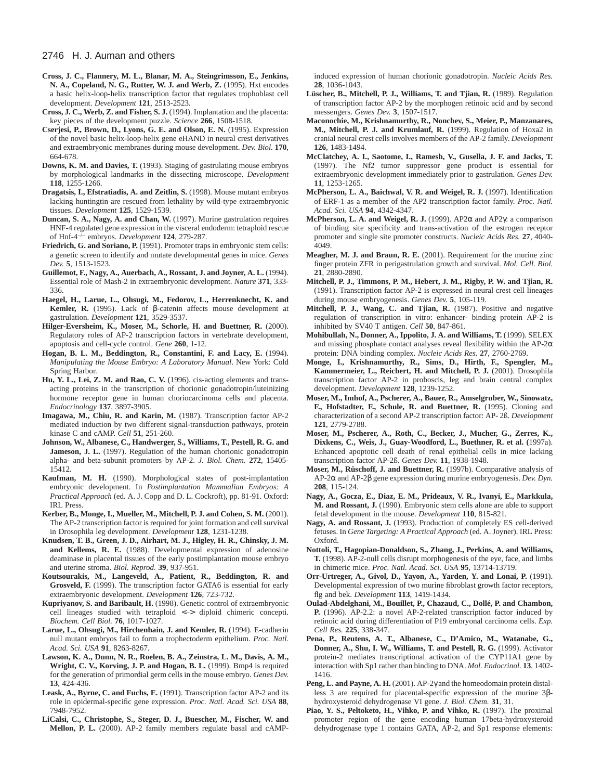#### 2746 H. J. Auman and others

- **Cross, J. C., Flannery, M. L., Blanar, M. A., Steingrimsson, E., Jenkins, N. A., Copeland, N. G., Rutter, W. J. and Werb, Z.** (1995). Hxt encodes a basic helix-loop-helix transcription factor that regulates trophoblast cell development. *Development* **121**, 2513-2523.
- **Cross, J. C., Werb, Z. and Fisher, S. J.** (1994). Implantation and the placenta: key pieces of the development puzzle. *Science* **266**, 1508-1518.
- **Cserjesi, P., Brown, D., Lyons, G. E. and Olson, E. N.** (1995). Expression of the novel basic helix-loop-helix gene eHAND in neural crest derivatives and extraembryonic membranes during mouse development. *Dev. Biol.* **170**, 664-678.
- **Downs, K. M. and Davies, T.** (1993). Staging of gastrulating mouse embryos by morphological landmarks in the dissecting microscope. *Development* **118**, 1255-1266.
- **Dragatsis, I., Efstratiadis, A. and Zeitlin, S.** (1998). Mouse mutant embryos lacking huntingtin are rescued from lethality by wild-type extraembryonic tissues. *Development* **125**, 1529-1539.
- **Duncan, S. A., Nagy, A. and Chan, W.** (1997). Murine gastrulation requires HNF-4 regulated gene expression in the visceral endoderm: tetraploid rescue of Hnf-4–/– embryos. *Development* **124**, 279-287.
- **Friedrich, G. and Soriano, P.** (1991). Promoter traps in embryonic stem cells: a genetic screen to identify and mutate developmental genes in mice. *Genes Dev.* **5**, 1513-1523.
- **Guillemot, F., Nagy, A., Auerbach, A., Rossant, J. and Joyner, A. L.** (1994). Essential role of Mash-2 in extraembryonic development. *Nature* **371**, 333- 336.
- **Haegel, H., Larue, L., Ohsugi, M., Fedorov, L., Herrenknecht, K. and Kemler, R.** (1995). Lack of β-catenin affects mouse development at gastrulation. *Development* **121**, 3529-3537.
- **Hilger-Eversheim, K., Moser, M., Schorle, H. and Buettner, R.** (2000). Regulatory roles of AP-2 transcription factors in vertebrate development, apoptosis and cell-cycle control. *Gene* **260**, 1-12.
- **Hogan, B. L. M., Beddington, R., Constantini, F. and Lacy, E.** (1994). *Manipulating the Mouse Embryo: A Laboratory Manual*. New York: Cold Spring Harbor.
- **Hu, Y. L., Lei, Z. M. and Rao, C. V.** (1996). cis-acting elements and transacting proteins in the transcription of chorionic gonadotropin/luteinizing hormone receptor gene in human choriocarcinoma cells and placenta. *Endocrinology* **137**, 3897-3905.
- **Imagawa, M., Chiu, R. and Karin, M.** (1987). Transcription factor AP-2 mediated induction by two different signal-transduction pathways, protein kinase C and cAMP. *Cell* **51**, 251-260.
- **Johnson, W., Albanese, C., Handwerger, S., Williams, T., Pestell, R. G. and Jameson, J. L.** (1997). Regulation of the human chorionic gonadotropin alpha- and beta-subunit promoters by AP-2. *J. Biol. Chem.* **272**, 15405- 15412.
- **Kaufman, M. H.** (1990). Morphological states of post-implantation embryonic development. In *Postimplantation Mammalian Embryos: A Practical Approach* (ed. A. J. Copp and D. L. Cockroft), pp. 81-91. Oxford: IRL Press.
- **Kerber, B., Monge, I., Mueller, M., Mitchell, P. J. and Cohen, S. M.** (2001). The AP-2 transcription factor is required for joint formation and cell survival in Drosophila leg development. *Development* **128**, 1231-1238.
- **Knudsen, T. B., Green, J. D., Airhart, M. J., Higley, H. R., Chinsky, J. M. and Kellems, R. E.** (1988). Developmental expression of adenosine deaminase in placental tissues of the early postimplantation mouse embryo and uterine stroma. *Biol. Reprod.* **39**, 937-951.
- **Koutsourakis, M., Langeveld, A., Patient, R., Beddington, R. and Grosveld, F.** (1999). The transcription factor GATA6 is essential for early extraembryonic development. *Development* **126**, 723-732.
- **Kupriyanov, S. and Baribault, H.** (1998). Genetic control of extraembryonic cell lineages studied with tetraploid <–> diploid chimeric concepti. *Biochem. Cell Biol.* **76**, 1017-1027.
- **Larue, L., Ohsugi, M., Hirchenhain, J. and Kemler, R.** (1994). E-cadherin null mutant embryos fail to form a trophectoderm epithelium. *Proc. Natl. Acad. Sci. USA* **91**, 8263-8267.
- **Lawson, K. A., Dunn, N. R., Roelen, B. A., Zeinstra, L. M., Davis, A. M., Wright, C. V., Korving, J. P. and Hogan, B. L.** (1999). Bmp4 is required for the generation of primordial germ cells in the mouse embryo. *Genes Dev.* **13**, 424-436.
- **Leask, A., Byrne, C. and Fuchs, E.** (1991). Transcription factor AP-2 and its role in epidermal-specific gene expression. *Proc. Natl. Acad. Sci. USA* **88**, 7948-7952.
- **LiCalsi, C., Christophe, S., Steger, D. J., Buescher, M., Fischer, W. and Mellon, P. L.** (2000). AP-2 family members regulate basal and cAMP-

induced expression of human chorionic gonadotropin. *Nucleic Acids Res.* **28**, 1036-1043.

- **Lüscher, B., Mitchell, P. J., Williams, T. and Tjian, R.** (1989). Regulation of transcription factor AP-2 by the morphogen retinoic acid and by second messengers. *Genes Dev.* **3**, 1507-1517.
- **Maconochie, M., Krishnamurthy, R., Nonchev, S., Meier, P., Manzanares, M., Mitchell, P. J. and Krumlauf, R.** (1999). Regulation of Hoxa2 in cranial neural crest cells involves members of the AP-2 family. *Development* **126**, 1483-1494.
- **McClatchey, A. I., Saotome, I., Ramesh, V., Gusella, J. F. and Jacks, T.** (1997). The Nf2 tumor suppressor gene product is essential for extraembryonic development immediately prior to gastrulation. *Genes Dev.* **11**, 1253-1265.
- **McPherson, L. A., Baichwal, V. R. and Weigel, R. J.** (1997). Identification of ERF-1 as a member of the AP2 transcription factor family. *Proc. Natl. Acad. Sci. USA* **94**, 4342-4347.
- **McPherson, L. A. and Weigel, R. J.** (1999). AP2α and AP2γ: a comparison of binding site specificity and trans-activation of the estrogen receptor promoter and single site promoter constructs. *Nucleic Acids Res.* **27**, 4040- 4049.
- **Meagher, M. J. and Braun, R. E.** (2001). Requirement for the murine zinc finger protein ZFR in perigastrulation growth and survival. *Mol. Cell. Biol.* **21**, 2880-2890.
- **Mitchell, P. J., Timmons, P. M., Hebert, J. M., Rigby, P. W. and Tjian, R.** (1991). Transcription factor AP-2 is expressed in neural crest cell lineages during mouse embryogenesis. *Genes Dev.* **5**, 105-119.
- **Mitchell, P. J., Wang, C. and Tjian, R.** (1987). Positive and negative regulation of transcription in vitro: enhancer- binding protein AP-2 is inhibited by SV40 T antigen. *Cell* **50**, 847-861.
- **Mohibullah, N., Donner, A., Ippolito, J. A. and Williams, T.** (1999). SELEX and missing phosphate contact analyses reveal flexibility within the  $AP-2\alpha$ protein: DNA binding complex. *Nucleic Acids Res.* **27**, 2760-2769.
- **Monge, I., Krishnamurthy, R., Sims, D., Hirth, F., Spengler, M., Kammermeier, L., Reichert, H. and Mitchell, P. J.** (2001). Drosophila transcription factor AP-2 in proboscis, leg and brain central complex development. *Development* **128**, 1239-1252.
- **Moser, M., Imhof, A., Pscherer, A., Bauer, R., Amselgruber, W., Sinowatz, F., Hofstadter, F., Schule, R. and Buettner, R.** (1995). Cloning and characterization of a second AP-2 transcription factor: AP- 2ß. *Development* **121**, 2779-2788.
- **Moser, M., Pscherer, A., Roth, C., Becker, J., Mucher, G., Zerres, K., Dixkens, C., Weis, J., Guay-Woodford, L., Buethner, R. et al. (**1997a). Enhanced apoptotic cell death of renal epithelial cells in mice lacking transcription factor AP-2ß. *Genes Dev.* **11**, 1938-1948.
- **Moser, M., Rüschoff, J. and Buettner, R.** (1997b). Comparative analysis of AP-2α and AP-2β gene expression during murine embryogenesis. *Dev. Dyn.* **208**, 115-124.
- **Nagy, A., Gocza, E., Diaz, E. M., Prideaux, V. R., Ivanyi, E., Markkula, M. and Rossant, J.** (1990). Embryonic stem cells alone are able to support fetal development in the mouse. *Development* **110**, 815-821.
- Nagy, A. and Rossant, J. (1993). Production of completely ES cell-derived fetuses. In *Gene Targeting: A Practical Approach* (ed. A. Joyner). IRL Press: Oxford.
- **Nottoli, T., Hagopian-Donaldson, S., Zhang, J., Perkins, A. and Williams, T.** (1998). AP-2-null cells disrupt morphogenesis of the eye, face, and limbs in chimeric mice. *Proc. Natl. Acad. Sci. USA* **95**, 13714-13719.
- **Orr-Urtreger, A., Givol, D., Yayon, A., Yarden, Y. and Lonai, P.** (1991). Developmental expression of two murine fibroblast growth factor receptors, flg and bek. *Development* **113**, 1419-1434.
- **Oulad-Abdelghani, M., Bouillet, P., Chazaud, C., Dollé, P. and Chambon, P.** (1996). AP-2.2: a novel AP-2-related transcription factor induced by retinoic acid during differentiation of P19 embryonal carcinoma cells. *Exp. Cell Res.* **225**, 338-347.
- **Pena, P., Reutens, A. T., Albanese, C., D'Amico, M., Watanabe, G., Donner, A., Shu, I. W., Williams, T. and Pestell, R. G.** (1999). Activator protein-2 mediates transcriptional activation of the CYP11A1 gene by interaction with Sp1 rather than binding to DNA. *Mol. Endocrinol.* **13**, 1402- 1416.
- **Peng, L. and Payne, A. H.** (2001). AP-2γ and the homeodomain protein distalless 3 are required for placental-specific expression of the murine 3βhydroxysteroid dehydrogenase VI gene. *J. Biol. Chem.* **31**, 31.
- **Piao, Y. S., Peltoketo, H., Vihko, P. and Vihko, R.** (1997). The proximal promoter region of the gene encoding human 17beta-hydroxysteroid dehydrogenase type 1 contains GATA, AP-2, and Sp1 response elements: